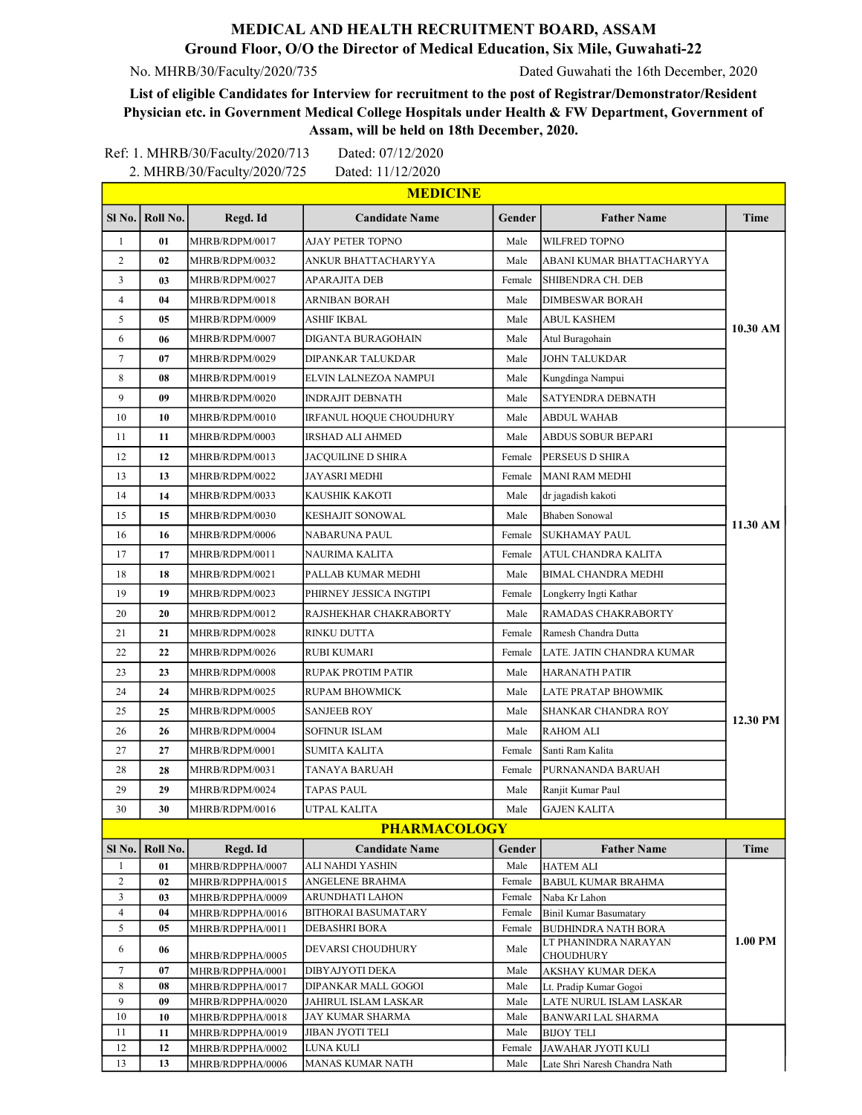## MEDICAL AND HEALTH RECRUITMENT BOARD, ASSAM Ground Floor, O/O the Director of Medical Education, Six Mile, Guwahati-22

No. MHRB/30/Faculty/2020/735 Dated Guwahati the 16th December, 2020

List of eligible Candidates for Interview for recruitment to the post of Registrar/Demonstrator/Resident Physician etc. in Government Medical College Hospitals under Health & FW Department, Government of Assam, will be held on 18th December, 2020.

|                                  |          | Ref: 1. MHRB/30/Faculty/2020/713     | Dated: 07/12/2020                        |                  |                                                |          |
|----------------------------------|----------|--------------------------------------|------------------------------------------|------------------|------------------------------------------------|----------|
|                                  |          | 2. MHRB/30/Faculty/2020/725          | Dated: 11/12/2020                        |                  |                                                |          |
|                                  |          |                                      | <b>MEDICINE</b>                          |                  |                                                |          |
| $SI$ No.                         | Roll No. | Regd. Id                             | <b>Candidate Name</b>                    | Gender           | <b>Father Name</b>                             | Time     |
| $\mathbf{1}$                     | 01       | MHRB/RDPM/0017                       | AJAY PETER TOPNO                         | Male             | WILFRED TOPNO                                  |          |
| 2                                | 02       | MHRB/RDPM/0032                       | ANKUR BHATTACHARYYA                      | Male             | ABANI KUMAR BHATTACHARYYA                      |          |
| 3                                | 03       | MHRB/RDPM/0027                       | APARAJITA DEB                            | Female           | SHIBENDRA CH. DEB                              |          |
| $\overline{4}$                   | 04       | MHRB/RDPM/0018                       | ARNIBAN BORAH                            | Male             | <b>DIMBESWAR BORAH</b>                         |          |
| 5                                | 05       | MHRB/RDPM/0009                       | ASHIF IKBAL                              | Male             | <b>ABUL KASHEM</b>                             |          |
| 6                                | 06       | MHRB/RDPM/0007                       | DIGANTA BURAGOHAIN                       | Male             | Atul Buragohain                                | 10.30 AM |
| $\tau$                           | 07       | MHRB/RDPM/0029                       | DIPANKAR TALUKDAR                        | Male             | <b>JOHN TALUKDAR</b>                           |          |
| 8                                | 08       | MHRB/RDPM/0019                       | ELVIN LALNEZOA NAMPUI                    | Male             | Kungdinga Nampui                               |          |
| 9                                | 09       | MHRB/RDPM/0020                       | INDRAJIT DEBNATH                         | Male             | SATYENDRA DEBNATH                              |          |
| 10                               | 10       | MHRB/RDPM/0010                       | IRFANUL HOQUE CHOUDHURY                  | Male             | <b>ABDUL WAHAB</b>                             |          |
| 11                               | 11       | MHRB/RDPM/0003                       | IRSHAD ALI AHMED                         | Male             | <b>ABDUS SOBUR BEPARI</b>                      |          |
| 12                               | 12       | MHRB/RDPM/0013                       | JACQUILINE D SHIRA                       | Female           | PERSEUS D SHIRA                                |          |
| 13                               | 13       | MHRB/RDPM/0022                       | JAYASRI MEDHI                            | Female           | <b>MANI RAM MEDHI</b>                          |          |
| 14                               | 14       | MHRB/RDPM/0033                       | KAUSHIK KAKOTI                           | Male             | dr jagadish kakoti                             |          |
| 15                               | 15       | MHRB/RDPM/0030                       | KESHAJIT SONOWAL                         | Male             | <b>Bhaben Sonowal</b>                          |          |
| 16                               | 16       | MHRB/RDPM/0006                       | NABARUNA PAUL                            | Female           | SUKHAMAY PAUL                                  | 11.30 AM |
| 17                               | 17       | MHRB/RDPM/0011                       | NAURIMA KALITA                           | Female           | ATUL CHANDRA KALITA                            |          |
| 18                               | 18       | MHRB/RDPM/0021                       | PALLAB KUMAR MEDHI                       | Male             | <b>BIMAL CHANDRA MEDHI</b>                     |          |
|                                  | 19       |                                      |                                          |                  |                                                |          |
| 19                               |          | MHRB/RDPM/0023                       | PHIRNEY JESSICA INGTIPI                  | Female           | Longkerry Ingti Kathar                         |          |
| 20                               | 20       | MHRB/RDPM/0012                       | RAJSHEKHAR CHAKRABORTY                   | Male             | RAMADAS CHAKRABORTY                            |          |
| 21                               | 21       | MHRB/RDPM/0028                       | RINKU DUTTA                              | Female           | Ramesh Chandra Dutta                           |          |
| 22                               | 22       | MHRB/RDPM/0026                       | RUBI KUMARI                              | Female           | LATE. JATIN CHANDRA KUMAR                      |          |
| 23                               | 23       | MHRB/RDPM/0008                       | RUPAK PROTIM PATIR                       | Male             | <b>HARANATH PATIR</b>                          |          |
| 24                               | 24       | MHRB/RDPM/0025                       | <b>RUPAM BHOWMICK</b>                    | Male             | LATE PRATAP BHOWMIK                            |          |
| 25                               | 25       | MHRB/RDPM/0005                       | <b>SANJEEB ROY</b>                       | Male             | SHANKAR CHANDRA ROY                            | 12.30 PM |
| 26                               | 26       | MHRB/RDPM/0004                       | SOFINUR ISLAM                            | Male             | <b>RAHOM ALI</b>                               |          |
| 27                               | 27       | MHRB/RDPM/0001                       | <b>SUMITA KALITA</b>                     | Female           | Santi Ram Kalita                               |          |
| 28                               | 28       | MHRB/RDPM/0031                       | TANAYA BARUAH                            | Female           | PURNANANDA BARUAH                              |          |
| 29                               | 29       | MHRB/RDPM/0024                       | TAPAS PAUL                               | Male             | Ranjit Kumar Paul                              |          |
| 30                               | 30       | MHRB/RDPM/0016                       | UTPAL KALITA                             | Male             | <b>GAJEN KALITA</b>                            |          |
|                                  |          |                                      | <b>PHARMACOLOGY</b>                      |                  |                                                |          |
| Sl <sub>No.</sub>                | Roll No. | Regd. Id                             | <b>Candidate Name</b>                    | <b>Gender</b>    | <b>Father Name</b>                             | Time     |
| 1                                | 01       | MHRB/RDPPHA/0007                     | ALI NAHDI YASHIN                         | Male             | <b>HATEM ALI</b>                               |          |
| $\overline{c}$                   | 02       | MHRB/RDPPHA/0015                     | ANGELENE BRAHMA                          | Female           | BABUL KUMAR BRAHMA                             |          |
| $\mathfrak{Z}$<br>$\overline{4}$ | 03<br>04 | MHRB/RDPPHA/0009                     | ARUNDHATI LAHON<br>BITHORAI BASUMATARY   | Female<br>Female | Naba Kr Lahon<br><b>Binil Kumar Basumatary</b> |          |
| 5                                | 05       | MHRB/RDPPHA/0016<br>MHRB/RDPPHA/0011 | DEBASHRI BORA                            | Female           | <b>BUDHINDRA NATH BORA</b>                     |          |
| 6                                | 06       | MHRB/RDPPHA/0005                     | DEVARSI CHOUDHURY                        | Male             | LT PHANINDRA NARAYAN<br>CHOUDHURY              | 1.00 PM  |
| 7                                | 07       | MHRB/RDPPHA/0001                     | DIBYAJYOTI DEKA                          | Male             | AKSHAY KUMAR DEKA                              |          |
| 8                                | 08       | MHRB/RDPPHA/0017                     | DIPANKAR MALL GOGOI                      | Male             | Lt. Pradip Kumar Gogoi                         |          |
| 9<br>10                          | 09<br>10 | MHRB/RDPPHA/0020<br>MHRB/RDPPHA/0018 | JAHIRUL ISLAM LASKAR<br>JAY KUMAR SHARMA | Male<br>Male     | LATE NURUL ISLAM LASKAR<br>BANWARI LAL SHARMA  |          |
| 11                               | 11       | MHRB/RDPPHA/0019                     | JIBAN JYOTI TELI                         | Male             | BIJOY TELI                                     |          |
| 12                               | 12       | MHRB/RDPPHA/0002                     | LUNA KULI                                | Female           | JAWAHAR JYOTI KULI                             |          |
| 13                               | 13       | MHRB/RDPPHA/0006                     | MANAS KUMAR NATH                         | Male             | Late Shri Naresh Chandra Nath                  |          |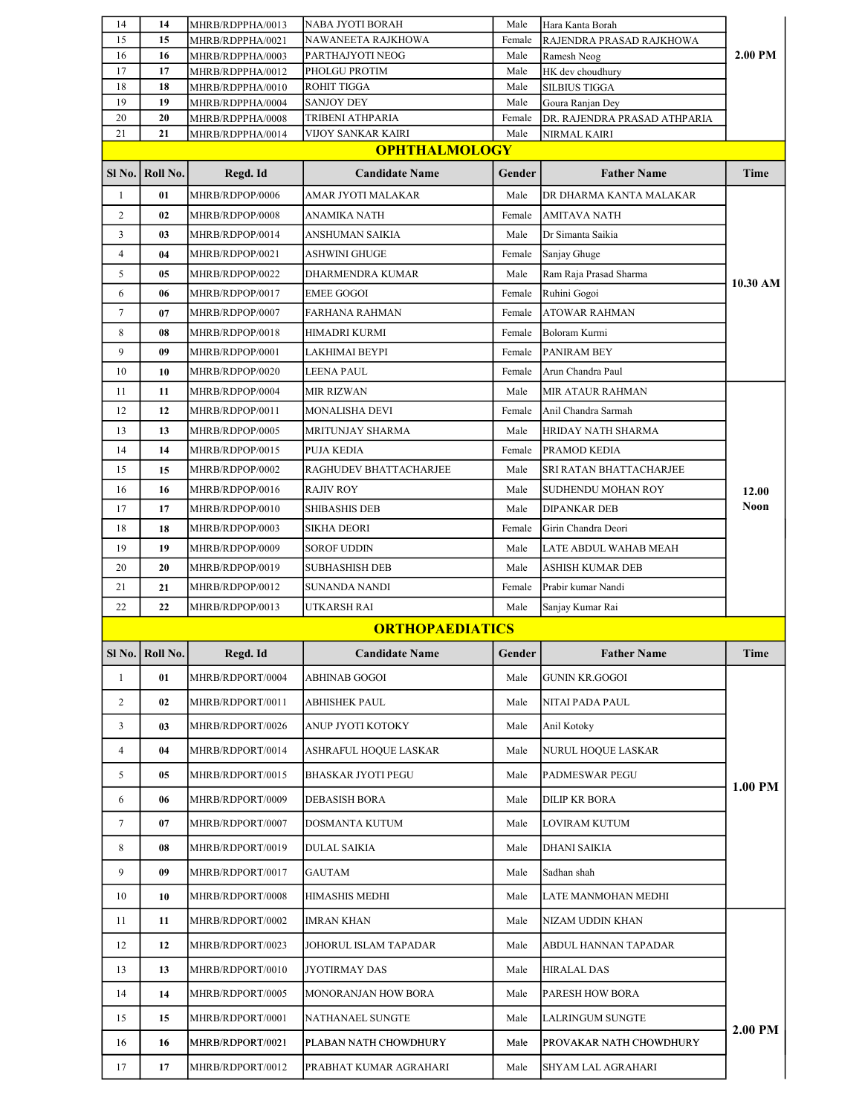| 14             | 14                | MHRB/RDPPHA/0013                     | NABA JYOTI BORAH                  | Male         | Hara Kanta Borah                |                |
|----------------|-------------------|--------------------------------------|-----------------------------------|--------------|---------------------------------|----------------|
| 15             | 15                | MHRB/RDPPHA/0021                     | NAWANEETA RAJKHOWA                | Female       | RAJENDRA PRASAD RAJKHOWA        |                |
| 16<br>17       | 16<br>17          | MHRB/RDPPHA/0003<br>MHRB/RDPPHA/0012 | PARTHAJYOTI NEOG<br>PHOLGU PROTIM | Male<br>Male | Ramesh Neog<br>HK dev choudhury | 2.00 PM        |
| 18             | 18                | MHRB/RDPPHA/0010                     | ROHIT TIGGA                       | Male         | <b>SILBIUS TIGGA</b>            |                |
| 19             | 19                | MHRB/RDPPHA/0004                     | <b>SANJOY DEY</b>                 | Male         | Goura Ranjan Dey                |                |
| 20             | 20                | MHRB/RDPPHA/0008                     | TRIBENI ATHPARIA                  | Female       | DR. RAJENDRA PRASAD ATHPARIA    |                |
| 21             | 21                | MHRB/RDPPHA/0014                     | VIJOY SANKAR KAIRI                | Male         | NIRMAL KAIRI                    |                |
|                |                   |                                      | <b>OPHTHALMOLOGY</b>              |              |                                 |                |
|                | SI No.   Roll No. | Regd. Id                             | <b>Candidate Name</b>             | Gender       | <b>Father Name</b>              | <b>Time</b>    |
| $\mathbf{1}$   | 01                | MHRB/RDPOP/0006                      | AMAR JYOTI MALAKAR                | Male         | DR DHARMA KANTA MALAKAR         |                |
| $\overline{c}$ | 02                | MHRB/RDPOP/0008                      | ANAMIKA NATH                      | Female       | AMITAVA NATH                    |                |
| 3              | 03                | MHRB/RDPOP/0014                      | ANSHUMAN SAIKIA                   | Male         | Dr Simanta Saikia               |                |
| $\overline{4}$ | 04                | MHRB/RDPOP/0021                      | ASHWINI GHUGE                     | Female       | Sanjay Ghuge                    |                |
| 5              | 05                | MHRB/RDPOP/0022                      | DHARMENDRA KUMAR                  | Male         | Ram Raja Prasad Sharma          | 10.30 AM       |
| 6              | 06                | MHRB/RDPOP/0017                      | <b>EMEE GOGOI</b>                 | Female       | Ruhini Gogoi                    |                |
| 7              | 07                | MHRB/RDPOP/0007                      | FARHANA RAHMAN                    | Female       | <b>ATOWAR RAHMAN</b>            |                |
| 8              | 08                | MHRB/RDPOP/0018                      | HIMADRI KURMI                     | Female       | Boloram Kurmi                   |                |
| 9              | 09                | MHRB/RDPOP/0001                      | LAKHIMAI BEYPI                    | Female       | PANIRAM BEY                     |                |
| 10             | 10                | MHRB/RDPOP/0020                      | LEENA PAUL                        | Female       | Arun Chandra Paul               |                |
| 11             | 11                | MHRB/RDPOP/0004                      | <b>MIR RIZWAN</b>                 | Male         | <b>MIR ATAUR RAHMAN</b>         |                |
| 12             | 12                | MHRB/RDPOP/0011                      | MONALISHA DEVI                    | Female       | Anil Chandra Sarmah             |                |
| 13             | 13                | MHRB/RDPOP/0005                      | MRITUNJAY SHARMA                  | Male         | HRIDAY NATH SHARMA              |                |
| 14             | 14                | MHRB/RDPOP/0015                      | PUJA KEDIA                        | Female       | PRAMOD KEDIA                    |                |
| 15             | 15                | MHRB/RDPOP/0002                      | RAGHUDEV BHATTACHARJEE            | Male         | SRI RATAN BHATTACHARJEE         |                |
| 16             | 16                | MHRB/RDPOP/0016                      | RAJIV ROY                         | Male         | SUDHENDU MOHAN ROY              | 12.00          |
| 17             | 17                | MHRB/RDPOP/0010                      | <b>SHIBASHIS DEB</b>              | Male         | <b>DIPANKAR DEB</b>             | <b>Noon</b>    |
| 18             | 18                | MHRB/RDPOP/0003                      | SIKHA DEORI                       | Female       | Girin Chandra Deori             |                |
| 19             | 19                | MHRB/RDPOP/0009                      | SOROF UDDIN                       | Male         | LATE ABDUL WAHAB MEAH           |                |
| 20             | 20                | MHRB/RDPOP/0019                      | <b>SUBHASHISH DEB</b>             | Male         | ASHISH KUMAR DEB                |                |
| 21             | 21                | MHRB/RDPOP/0012                      | SUNANDA NANDI                     | Female       | Prabir kumar Nandi              |                |
| 22             | 22                | MHRB/RDPOP/0013                      | UTKARSH RAI                       | Male         | Sanjay Kumar Rai                |                |
|                |                   |                                      | <b>ORTHOPAEDIATICS</b>            |              |                                 |                |
|                | SI No.   Roll No. | Regd. Id                             | <b>Candidate Name</b>             | Gender       | <b>Father Name</b>              | <b>Time</b>    |
| 1              | 01                | MHRB/RDPORT/0004                     | ABHINAB GOGOI                     | Male         | <b>GUNIN KR.GOGOI</b>           |                |
| $\overline{2}$ | 02                | MHRB/RDPORT/0011                     | ABHISHEK PAUL                     | Male         | NITAI PADA PAUL                 |                |
| 3              | 03                | MHRB/RDPORT/0026                     | ANUP JYOTI KOTOKY                 | Male         | Anil Kotoky                     |                |
| 4              | 04                | MHRB/RDPORT/0014                     | ASHRAFUL HOQUE LASKAR             | Male         | NURUL HOQUE LASKAR              |                |
| 5              | 05                | MHRB/RDPORT/0015                     | <b>BHASKAR JYOTI PEGU</b>         | Male         | PADMESWAR PEGU                  |                |
| 6              | 06                | MHRB/RDPORT/0009                     | <b>DEBASISH BORA</b>              | Male         | <b>DILIP KR BORA</b>            | 1.00 PM        |
| $\tau$         | 07                | MHRB/RDPORT/0007                     | DOSMANTA KUTUM                    | Male         | LOVIRAM KUTUM                   |                |
| 8              | 08                | MHRB/RDPORT/0019                     | <b>DULAL SAIKIA</b>               | Male         | <b>DHANI SAIKIA</b>             |                |
| 9              | 09                | MHRB/RDPORT/0017                     | GAUTAM                            | Male         | Sadhan shah                     |                |
| 10             | 10                | MHRB/RDPORT/0008                     | HIMASHIS MEDHI                    | Male         | LATE MANMOHAN MEDHI             |                |
|                |                   |                                      |                                   |              |                                 |                |
|                |                   |                                      |                                   |              |                                 |                |
| 11             | 11                | MHRB/RDPORT/0002                     | IMRAN KHAN                        | Male         | NIZAM UDDIN KHAN                |                |
| 12             | 12                | MHRB/RDPORT/0023                     | JOHORUL ISLAM TAPADAR             | Male         | ABDUL HANNAN TAPADAR            |                |
| 13             | 13                | MHRB/RDPORT/0010                     | JYOTIRMAY DAS                     | Male         | <b>HIRALAL DAS</b>              |                |
| 14             | 14                | MHRB/RDPORT/0005                     | MONORANJAN HOW BORA               | Male         | PARESH HOW BORA                 |                |
| 15             | 15                | MHRB/RDPORT/0001                     | NATHANAEL SUNGTE                  | Male         | LALRINGUM SUNGTE                | <b>2.00 PM</b> |
| 16             | 16                | MHRB/RDPORT/0021                     | PLABAN NATH CHOWDHURY             | Male         | PROVAKAR NATH CHOWDHURY         |                |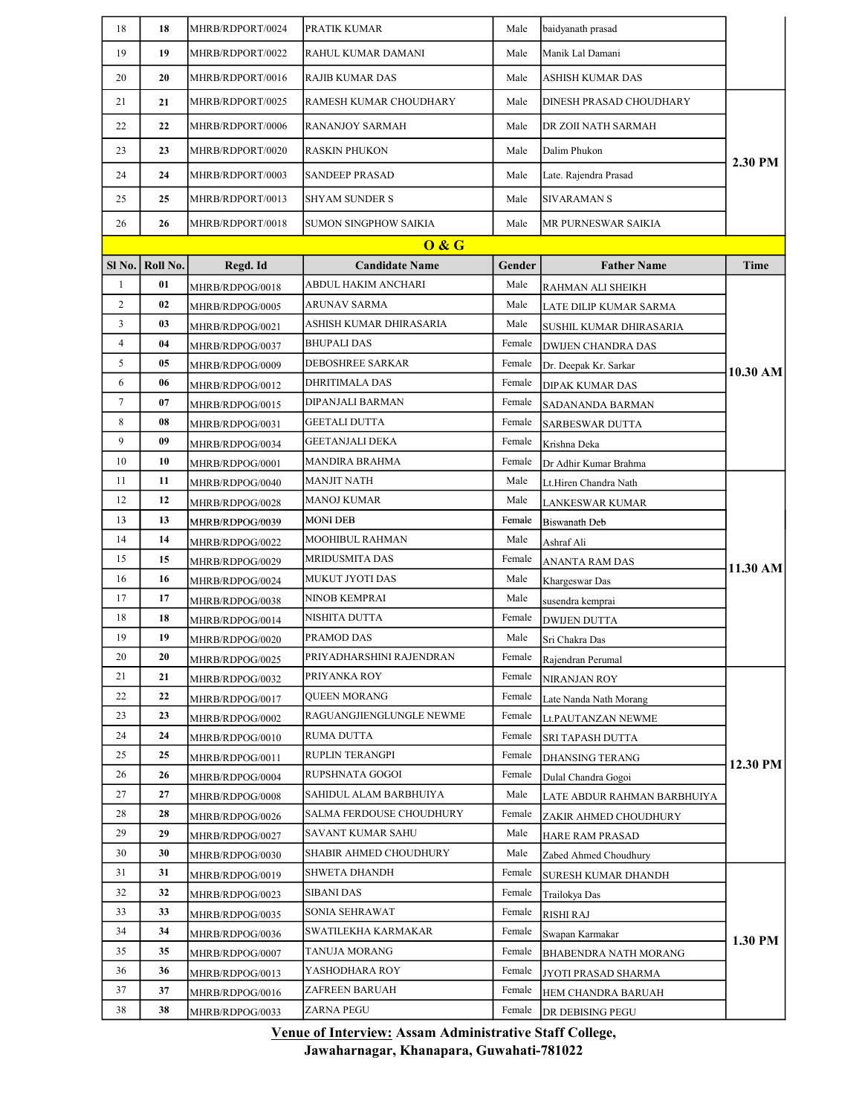| 19<br>Male<br>Manik Lal Damani<br>19<br>MHRB/RDPORT/0022<br>RAHUL KUMAR DAMANI<br>20<br>20<br>MHRB/RDPORT/0016<br>Male<br>RAJIB KUMAR DAS<br>ASHISH KUMAR DAS<br>21<br>Male<br>21<br>MHRB/RDPORT/0025<br>RAMESH KUMAR CHOUDHARY<br>DINESH PRASAD CHOUDHARY<br>22<br>22<br>MHRB/RDPORT/0006<br>RANANJOY SARMAH<br>Male<br>DR ZOII NATH SARMAH<br>23<br>Dalim Phukon<br>23<br>MHRB/RDPORT/0020<br>RASKIN PHUKON<br>Male<br>2.30 PM<br>24<br><b>SANDEEP PRASAD</b><br>24<br>MHRB/RDPORT/0003<br>Male<br>Late. Rajendra Prasad<br>25<br>25<br>Male<br>SIVARAMAN S<br>MHRB/RDPORT/0013<br>SHYAM SUNDER S<br>26<br>26<br>MHRB/RDPORT/0018<br>SUMON SINGPHOW SAIKIA<br>Male<br>MR PURNESWAR SAIKIA<br>0 & G<br>Roll No.<br>Sl No.<br>Regd. Id<br><b>Candidate Name</b><br>Gender<br><b>Father Name</b><br><b>Time</b><br>$\mathbf{1}$<br>01<br>ABDUL HAKIM ANCHARI<br>Male<br>MHRB/RDPOG/0018<br>RAHMAN ALI SHEIKH<br>$\overline{c}$<br>02<br><b>ARUNAV SARMA</b><br>Male<br>MHRB/RDPOG/0005<br>LATE DILIP KUMAR SARMA<br>3<br>03<br>Male<br>ASHISH KUMAR DHIRASARIA<br>MHRB/RDPOG/0021<br>SUSHIL KUMAR DHIRASARIA<br>$\overline{4}$<br>04<br>BHUPALI DAS<br>Female<br>MHRB/RDPOG/0037<br>DWIJEN CHANDRA DAS<br>5<br><b>DEBOSHREE SARKAR</b><br>05<br>Female<br>MHRB/RDPOG/0009<br>Dr. Deepak Kr. Sarkar<br>10.30 AM<br>6<br>Female<br>06<br>DHRITIMALA DAS<br>MHRB/RDPOG/0012<br>DIPAK KUMAR DAS<br>7<br>07<br>DIPANJALI BARMAN<br>Female<br>MHRB/RDPOG/0015<br>SADANANDA BARMAN<br>8<br>08<br>GEETALI DUTTA<br>Female<br><b>SARBESWAR DUTTA</b><br>MHRB/RDPOG/0031<br>9<br>09<br>GEETANJALI DEKA<br>Female<br>Krishna Deka<br>MHRB/RDPOG/0034<br>10<br>10<br>MANDIRA BRAHMA<br>Female<br>Dr Adhir Kumar Brahma<br>MHRB/RDPOG/0001<br><b>MANJIT NATH</b><br>11<br>11<br>Male<br>MHRB/RDPOG/0040<br>Lt.Hiren Chandra Nath<br>12<br>Male<br>12<br>MANOJ KUMAR<br>MHRB/RDPOG/0028<br>LANKESWAR KUMAR<br>13<br>MONI DEB<br>Female<br>13<br>MHRB/RDPOG/0039<br>Biswanath Deb<br>Male<br>14<br>MOOHIBUL RAHMAN<br>14<br>Ashraf Ali<br>MHRB/RDPOG/0022<br>15<br>15<br>MRIDUSMITA DAS<br>Female<br>MHRB/RDPOG/0029<br>ANANTA RAM DAS<br>11.30 AM<br>16<br>16<br>MUKUT JYOTI DAS<br>Male<br>MHRB/RDPOG/0024<br>Khargeswar Das<br>Male<br>17<br>17<br>NINOB KEMPRAI<br>MHRB/RDPOG/0038<br>susendra kemprai<br>18<br>18<br>NISHITA DUTTA<br>Female<br><b>DWIJEN DUTTA</b><br>MHRB/RDPOG/0014<br>19<br>19<br>PRAMOD DAS<br>Male<br>MHRB/RDPOG/0020<br>Sri Chakra Das<br>20<br>PRIYADHARSHINI RAJENDRAN<br>Female<br>20<br>Rajendran Perumal<br>MHRB/RDPOG/0025<br>21<br>PRIYANKA ROY<br>Female<br>21<br>NIRANJAN ROY<br>MHRB/RDPOG/0032<br>22<br>QUEEN MORANG<br>22<br>Female<br>MHRB/RDPOG/0017<br>Late Nanda Nath Morang<br>23<br>23<br>RAGUANGJIENGLUNGLE NEWME<br>Female<br>MHRB/RDPOG/0002<br>Lt.PAUTANZAN NEWME<br>24<br>24<br>RUMA DUTTA<br>Female<br>MHRB/RDPOG/0010<br>SRI TAPASH DUTTA<br>25<br>25<br>RUPLIN TERANGPI<br>Female<br>MHRB/RDPOG/0011<br>DHANSING TERANG<br>12.30 PM<br>26<br>26<br>RUPSHNATA GOGOI<br>Female<br>MHRB/RDPOG/0004<br>Dulal Chandra Gogoi<br>27<br>27<br>SAHIDUL ALAM BARBHUIYA<br>Male<br>MHRB/RDPOG/0008<br>LATE ABDUR RAHMAN BARBHUIYA<br>28<br>28<br>SALMA FERDOUSE CHOUDHURY<br>Female<br>MHRB/RDPOG/0026<br>ZAKIR AHMED CHOUDHURY<br>29<br>SAVANT KUMAR SAHU<br>29<br>Male<br>HARE RAM PRASAD<br>MHRB/RDPOG/0027<br>SHABIR AHMED CHOUDHURY<br>30<br>Male<br>30<br>MHRB/RDPOG/0030<br>Zabed Ahmed Choudhury<br>31<br>31<br>SHWETA DHANDH<br>Female<br>MHRB/RDPOG/0019<br>SURESH KUMAR DHANDH<br>32<br>32<br><b>SIBANI DAS</b><br>Female<br>MHRB/RDPOG/0023<br>Trailokya Das<br>SONIA SEHRAWAT<br>33<br>33<br>Female<br><b>RISHI RAJ</b><br>MHRB/RDPOG/0035<br>34<br>34<br>SWATILEKHA KARMAKAR<br>Female<br>MHRB/RDPOG/0036<br>Swapan Karmakar<br>1.30 PM<br>35<br>35<br>TANUJA MORANG<br>Female<br>MHRB/RDPOG/0007<br>BHABENDRA NATH MORANG<br>36<br>YASHODHARA ROY<br>36<br>Female<br>MHRB/RDPOG/0013<br>JYOTI PRASAD SHARMA<br>37<br>ZAFREEN BARUAH<br>37<br>Female<br>MHRB/RDPOG/0016<br>HEM CHANDRA BARUAH<br>38<br>38<br>ZARNA PEGU<br>Female<br>MHRB/RDPOG/0033<br>DR DEBISING PEGU | 18 | 18 | MHRB/RDPORT/0024 | PRATIK KUMAR | Male | baidyanath prasad |  |
|-------------------------------------------------------------------------------------------------------------------------------------------------------------------------------------------------------------------------------------------------------------------------------------------------------------------------------------------------------------------------------------------------------------------------------------------------------------------------------------------------------------------------------------------------------------------------------------------------------------------------------------------------------------------------------------------------------------------------------------------------------------------------------------------------------------------------------------------------------------------------------------------------------------------------------------------------------------------------------------------------------------------------------------------------------------------------------------------------------------------------------------------------------------------------------------------------------------------------------------------------------------------------------------------------------------------------------------------------------------------------------------------------------------------------------------------------------------------------------------------------------------------------------------------------------------------------------------------------------------------------------------------------------------------------------------------------------------------------------------------------------------------------------------------------------------------------------------------------------------------------------------------------------------------------------------------------------------------------------------------------------------------------------------------------------------------------------------------------------------------------------------------------------------------------------------------------------------------------------------------------------------------------------------------------------------------------------------------------------------------------------------------------------------------------------------------------------------------------------------------------------------------------------------------------------------------------------------------------------------------------------------------------------------------------------------------------------------------------------------------------------------------------------------------------------------------------------------------------------------------------------------------------------------------------------------------------------------------------------------------------------------------------------------------------------------------------------------------------------------------------------------------------------------------------------------------------------------------------------------------------------------------------------------------------------------------------------------------------------------------------------------------------------------------------------------------------------------------------------------------------------------------------------------------------------------------------------------------------------------------------------------------------------------------------------------------------------------------------------------------------------------------------------------------------------------------------------------------------------------------------------------------------------------------------------------------------------------------------------------------------------------------------------------------------------------------------------------------------------------------|----|----|------------------|--------------|------|-------------------|--|
|                                                                                                                                                                                                                                                                                                                                                                                                                                                                                                                                                                                                                                                                                                                                                                                                                                                                                                                                                                                                                                                                                                                                                                                                                                                                                                                                                                                                                                                                                                                                                                                                                                                                                                                                                                                                                                                                                                                                                                                                                                                                                                                                                                                                                                                                                                                                                                                                                                                                                                                                                                                                                                                                                                                                                                                                                                                                                                                                                                                                                                                                                                                                                                                                                                                                                                                                                                                                                                                                                                                                                                                                                                                                                                                                                                                                                                                                                                                                                                                                                                                                                                                   |    |    |                  |              |      |                   |  |
|                                                                                                                                                                                                                                                                                                                                                                                                                                                                                                                                                                                                                                                                                                                                                                                                                                                                                                                                                                                                                                                                                                                                                                                                                                                                                                                                                                                                                                                                                                                                                                                                                                                                                                                                                                                                                                                                                                                                                                                                                                                                                                                                                                                                                                                                                                                                                                                                                                                                                                                                                                                                                                                                                                                                                                                                                                                                                                                                                                                                                                                                                                                                                                                                                                                                                                                                                                                                                                                                                                                                                                                                                                                                                                                                                                                                                                                                                                                                                                                                                                                                                                                   |    |    |                  |              |      |                   |  |
|                                                                                                                                                                                                                                                                                                                                                                                                                                                                                                                                                                                                                                                                                                                                                                                                                                                                                                                                                                                                                                                                                                                                                                                                                                                                                                                                                                                                                                                                                                                                                                                                                                                                                                                                                                                                                                                                                                                                                                                                                                                                                                                                                                                                                                                                                                                                                                                                                                                                                                                                                                                                                                                                                                                                                                                                                                                                                                                                                                                                                                                                                                                                                                                                                                                                                                                                                                                                                                                                                                                                                                                                                                                                                                                                                                                                                                                                                                                                                                                                                                                                                                                   |    |    |                  |              |      |                   |  |
|                                                                                                                                                                                                                                                                                                                                                                                                                                                                                                                                                                                                                                                                                                                                                                                                                                                                                                                                                                                                                                                                                                                                                                                                                                                                                                                                                                                                                                                                                                                                                                                                                                                                                                                                                                                                                                                                                                                                                                                                                                                                                                                                                                                                                                                                                                                                                                                                                                                                                                                                                                                                                                                                                                                                                                                                                                                                                                                                                                                                                                                                                                                                                                                                                                                                                                                                                                                                                                                                                                                                                                                                                                                                                                                                                                                                                                                                                                                                                                                                                                                                                                                   |    |    |                  |              |      |                   |  |
|                                                                                                                                                                                                                                                                                                                                                                                                                                                                                                                                                                                                                                                                                                                                                                                                                                                                                                                                                                                                                                                                                                                                                                                                                                                                                                                                                                                                                                                                                                                                                                                                                                                                                                                                                                                                                                                                                                                                                                                                                                                                                                                                                                                                                                                                                                                                                                                                                                                                                                                                                                                                                                                                                                                                                                                                                                                                                                                                                                                                                                                                                                                                                                                                                                                                                                                                                                                                                                                                                                                                                                                                                                                                                                                                                                                                                                                                                                                                                                                                                                                                                                                   |    |    |                  |              |      |                   |  |
|                                                                                                                                                                                                                                                                                                                                                                                                                                                                                                                                                                                                                                                                                                                                                                                                                                                                                                                                                                                                                                                                                                                                                                                                                                                                                                                                                                                                                                                                                                                                                                                                                                                                                                                                                                                                                                                                                                                                                                                                                                                                                                                                                                                                                                                                                                                                                                                                                                                                                                                                                                                                                                                                                                                                                                                                                                                                                                                                                                                                                                                                                                                                                                                                                                                                                                                                                                                                                                                                                                                                                                                                                                                                                                                                                                                                                                                                                                                                                                                                                                                                                                                   |    |    |                  |              |      |                   |  |
|                                                                                                                                                                                                                                                                                                                                                                                                                                                                                                                                                                                                                                                                                                                                                                                                                                                                                                                                                                                                                                                                                                                                                                                                                                                                                                                                                                                                                                                                                                                                                                                                                                                                                                                                                                                                                                                                                                                                                                                                                                                                                                                                                                                                                                                                                                                                                                                                                                                                                                                                                                                                                                                                                                                                                                                                                                                                                                                                                                                                                                                                                                                                                                                                                                                                                                                                                                                                                                                                                                                                                                                                                                                                                                                                                                                                                                                                                                                                                                                                                                                                                                                   |    |    |                  |              |      |                   |  |
|                                                                                                                                                                                                                                                                                                                                                                                                                                                                                                                                                                                                                                                                                                                                                                                                                                                                                                                                                                                                                                                                                                                                                                                                                                                                                                                                                                                                                                                                                                                                                                                                                                                                                                                                                                                                                                                                                                                                                                                                                                                                                                                                                                                                                                                                                                                                                                                                                                                                                                                                                                                                                                                                                                                                                                                                                                                                                                                                                                                                                                                                                                                                                                                                                                                                                                                                                                                                                                                                                                                                                                                                                                                                                                                                                                                                                                                                                                                                                                                                                                                                                                                   |    |    |                  |              |      |                   |  |
|                                                                                                                                                                                                                                                                                                                                                                                                                                                                                                                                                                                                                                                                                                                                                                                                                                                                                                                                                                                                                                                                                                                                                                                                                                                                                                                                                                                                                                                                                                                                                                                                                                                                                                                                                                                                                                                                                                                                                                                                                                                                                                                                                                                                                                                                                                                                                                                                                                                                                                                                                                                                                                                                                                                                                                                                                                                                                                                                                                                                                                                                                                                                                                                                                                                                                                                                                                                                                                                                                                                                                                                                                                                                                                                                                                                                                                                                                                                                                                                                                                                                                                                   |    |    |                  |              |      |                   |  |
|                                                                                                                                                                                                                                                                                                                                                                                                                                                                                                                                                                                                                                                                                                                                                                                                                                                                                                                                                                                                                                                                                                                                                                                                                                                                                                                                                                                                                                                                                                                                                                                                                                                                                                                                                                                                                                                                                                                                                                                                                                                                                                                                                                                                                                                                                                                                                                                                                                                                                                                                                                                                                                                                                                                                                                                                                                                                                                                                                                                                                                                                                                                                                                                                                                                                                                                                                                                                                                                                                                                                                                                                                                                                                                                                                                                                                                                                                                                                                                                                                                                                                                                   |    |    |                  |              |      |                   |  |
|                                                                                                                                                                                                                                                                                                                                                                                                                                                                                                                                                                                                                                                                                                                                                                                                                                                                                                                                                                                                                                                                                                                                                                                                                                                                                                                                                                                                                                                                                                                                                                                                                                                                                                                                                                                                                                                                                                                                                                                                                                                                                                                                                                                                                                                                                                                                                                                                                                                                                                                                                                                                                                                                                                                                                                                                                                                                                                                                                                                                                                                                                                                                                                                                                                                                                                                                                                                                                                                                                                                                                                                                                                                                                                                                                                                                                                                                                                                                                                                                                                                                                                                   |    |    |                  |              |      |                   |  |
|                                                                                                                                                                                                                                                                                                                                                                                                                                                                                                                                                                                                                                                                                                                                                                                                                                                                                                                                                                                                                                                                                                                                                                                                                                                                                                                                                                                                                                                                                                                                                                                                                                                                                                                                                                                                                                                                                                                                                                                                                                                                                                                                                                                                                                                                                                                                                                                                                                                                                                                                                                                                                                                                                                                                                                                                                                                                                                                                                                                                                                                                                                                                                                                                                                                                                                                                                                                                                                                                                                                                                                                                                                                                                                                                                                                                                                                                                                                                                                                                                                                                                                                   |    |    |                  |              |      |                   |  |
|                                                                                                                                                                                                                                                                                                                                                                                                                                                                                                                                                                                                                                                                                                                                                                                                                                                                                                                                                                                                                                                                                                                                                                                                                                                                                                                                                                                                                                                                                                                                                                                                                                                                                                                                                                                                                                                                                                                                                                                                                                                                                                                                                                                                                                                                                                                                                                                                                                                                                                                                                                                                                                                                                                                                                                                                                                                                                                                                                                                                                                                                                                                                                                                                                                                                                                                                                                                                                                                                                                                                                                                                                                                                                                                                                                                                                                                                                                                                                                                                                                                                                                                   |    |    |                  |              |      |                   |  |
|                                                                                                                                                                                                                                                                                                                                                                                                                                                                                                                                                                                                                                                                                                                                                                                                                                                                                                                                                                                                                                                                                                                                                                                                                                                                                                                                                                                                                                                                                                                                                                                                                                                                                                                                                                                                                                                                                                                                                                                                                                                                                                                                                                                                                                                                                                                                                                                                                                                                                                                                                                                                                                                                                                                                                                                                                                                                                                                                                                                                                                                                                                                                                                                                                                                                                                                                                                                                                                                                                                                                                                                                                                                                                                                                                                                                                                                                                                                                                                                                                                                                                                                   |    |    |                  |              |      |                   |  |
|                                                                                                                                                                                                                                                                                                                                                                                                                                                                                                                                                                                                                                                                                                                                                                                                                                                                                                                                                                                                                                                                                                                                                                                                                                                                                                                                                                                                                                                                                                                                                                                                                                                                                                                                                                                                                                                                                                                                                                                                                                                                                                                                                                                                                                                                                                                                                                                                                                                                                                                                                                                                                                                                                                                                                                                                                                                                                                                                                                                                                                                                                                                                                                                                                                                                                                                                                                                                                                                                                                                                                                                                                                                                                                                                                                                                                                                                                                                                                                                                                                                                                                                   |    |    |                  |              |      |                   |  |
|                                                                                                                                                                                                                                                                                                                                                                                                                                                                                                                                                                                                                                                                                                                                                                                                                                                                                                                                                                                                                                                                                                                                                                                                                                                                                                                                                                                                                                                                                                                                                                                                                                                                                                                                                                                                                                                                                                                                                                                                                                                                                                                                                                                                                                                                                                                                                                                                                                                                                                                                                                                                                                                                                                                                                                                                                                                                                                                                                                                                                                                                                                                                                                                                                                                                                                                                                                                                                                                                                                                                                                                                                                                                                                                                                                                                                                                                                                                                                                                                                                                                                                                   |    |    |                  |              |      |                   |  |
|                                                                                                                                                                                                                                                                                                                                                                                                                                                                                                                                                                                                                                                                                                                                                                                                                                                                                                                                                                                                                                                                                                                                                                                                                                                                                                                                                                                                                                                                                                                                                                                                                                                                                                                                                                                                                                                                                                                                                                                                                                                                                                                                                                                                                                                                                                                                                                                                                                                                                                                                                                                                                                                                                                                                                                                                                                                                                                                                                                                                                                                                                                                                                                                                                                                                                                                                                                                                                                                                                                                                                                                                                                                                                                                                                                                                                                                                                                                                                                                                                                                                                                                   |    |    |                  |              |      |                   |  |
|                                                                                                                                                                                                                                                                                                                                                                                                                                                                                                                                                                                                                                                                                                                                                                                                                                                                                                                                                                                                                                                                                                                                                                                                                                                                                                                                                                                                                                                                                                                                                                                                                                                                                                                                                                                                                                                                                                                                                                                                                                                                                                                                                                                                                                                                                                                                                                                                                                                                                                                                                                                                                                                                                                                                                                                                                                                                                                                                                                                                                                                                                                                                                                                                                                                                                                                                                                                                                                                                                                                                                                                                                                                                                                                                                                                                                                                                                                                                                                                                                                                                                                                   |    |    |                  |              |      |                   |  |
|                                                                                                                                                                                                                                                                                                                                                                                                                                                                                                                                                                                                                                                                                                                                                                                                                                                                                                                                                                                                                                                                                                                                                                                                                                                                                                                                                                                                                                                                                                                                                                                                                                                                                                                                                                                                                                                                                                                                                                                                                                                                                                                                                                                                                                                                                                                                                                                                                                                                                                                                                                                                                                                                                                                                                                                                                                                                                                                                                                                                                                                                                                                                                                                                                                                                                                                                                                                                                                                                                                                                                                                                                                                                                                                                                                                                                                                                                                                                                                                                                                                                                                                   |    |    |                  |              |      |                   |  |
|                                                                                                                                                                                                                                                                                                                                                                                                                                                                                                                                                                                                                                                                                                                                                                                                                                                                                                                                                                                                                                                                                                                                                                                                                                                                                                                                                                                                                                                                                                                                                                                                                                                                                                                                                                                                                                                                                                                                                                                                                                                                                                                                                                                                                                                                                                                                                                                                                                                                                                                                                                                                                                                                                                                                                                                                                                                                                                                                                                                                                                                                                                                                                                                                                                                                                                                                                                                                                                                                                                                                                                                                                                                                                                                                                                                                                                                                                                                                                                                                                                                                                                                   |    |    |                  |              |      |                   |  |
|                                                                                                                                                                                                                                                                                                                                                                                                                                                                                                                                                                                                                                                                                                                                                                                                                                                                                                                                                                                                                                                                                                                                                                                                                                                                                                                                                                                                                                                                                                                                                                                                                                                                                                                                                                                                                                                                                                                                                                                                                                                                                                                                                                                                                                                                                                                                                                                                                                                                                                                                                                                                                                                                                                                                                                                                                                                                                                                                                                                                                                                                                                                                                                                                                                                                                                                                                                                                                                                                                                                                                                                                                                                                                                                                                                                                                                                                                                                                                                                                                                                                                                                   |    |    |                  |              |      |                   |  |
|                                                                                                                                                                                                                                                                                                                                                                                                                                                                                                                                                                                                                                                                                                                                                                                                                                                                                                                                                                                                                                                                                                                                                                                                                                                                                                                                                                                                                                                                                                                                                                                                                                                                                                                                                                                                                                                                                                                                                                                                                                                                                                                                                                                                                                                                                                                                                                                                                                                                                                                                                                                                                                                                                                                                                                                                                                                                                                                                                                                                                                                                                                                                                                                                                                                                                                                                                                                                                                                                                                                                                                                                                                                                                                                                                                                                                                                                                                                                                                                                                                                                                                                   |    |    |                  |              |      |                   |  |
|                                                                                                                                                                                                                                                                                                                                                                                                                                                                                                                                                                                                                                                                                                                                                                                                                                                                                                                                                                                                                                                                                                                                                                                                                                                                                                                                                                                                                                                                                                                                                                                                                                                                                                                                                                                                                                                                                                                                                                                                                                                                                                                                                                                                                                                                                                                                                                                                                                                                                                                                                                                                                                                                                                                                                                                                                                                                                                                                                                                                                                                                                                                                                                                                                                                                                                                                                                                                                                                                                                                                                                                                                                                                                                                                                                                                                                                                                                                                                                                                                                                                                                                   |    |    |                  |              |      |                   |  |
|                                                                                                                                                                                                                                                                                                                                                                                                                                                                                                                                                                                                                                                                                                                                                                                                                                                                                                                                                                                                                                                                                                                                                                                                                                                                                                                                                                                                                                                                                                                                                                                                                                                                                                                                                                                                                                                                                                                                                                                                                                                                                                                                                                                                                                                                                                                                                                                                                                                                                                                                                                                                                                                                                                                                                                                                                                                                                                                                                                                                                                                                                                                                                                                                                                                                                                                                                                                                                                                                                                                                                                                                                                                                                                                                                                                                                                                                                                                                                                                                                                                                                                                   |    |    |                  |              |      |                   |  |
|                                                                                                                                                                                                                                                                                                                                                                                                                                                                                                                                                                                                                                                                                                                                                                                                                                                                                                                                                                                                                                                                                                                                                                                                                                                                                                                                                                                                                                                                                                                                                                                                                                                                                                                                                                                                                                                                                                                                                                                                                                                                                                                                                                                                                                                                                                                                                                                                                                                                                                                                                                                                                                                                                                                                                                                                                                                                                                                                                                                                                                                                                                                                                                                                                                                                                                                                                                                                                                                                                                                                                                                                                                                                                                                                                                                                                                                                                                                                                                                                                                                                                                                   |    |    |                  |              |      |                   |  |
|                                                                                                                                                                                                                                                                                                                                                                                                                                                                                                                                                                                                                                                                                                                                                                                                                                                                                                                                                                                                                                                                                                                                                                                                                                                                                                                                                                                                                                                                                                                                                                                                                                                                                                                                                                                                                                                                                                                                                                                                                                                                                                                                                                                                                                                                                                                                                                                                                                                                                                                                                                                                                                                                                                                                                                                                                                                                                                                                                                                                                                                                                                                                                                                                                                                                                                                                                                                                                                                                                                                                                                                                                                                                                                                                                                                                                                                                                                                                                                                                                                                                                                                   |    |    |                  |              |      |                   |  |
|                                                                                                                                                                                                                                                                                                                                                                                                                                                                                                                                                                                                                                                                                                                                                                                                                                                                                                                                                                                                                                                                                                                                                                                                                                                                                                                                                                                                                                                                                                                                                                                                                                                                                                                                                                                                                                                                                                                                                                                                                                                                                                                                                                                                                                                                                                                                                                                                                                                                                                                                                                                                                                                                                                                                                                                                                                                                                                                                                                                                                                                                                                                                                                                                                                                                                                                                                                                                                                                                                                                                                                                                                                                                                                                                                                                                                                                                                                                                                                                                                                                                                                                   |    |    |                  |              |      |                   |  |
|                                                                                                                                                                                                                                                                                                                                                                                                                                                                                                                                                                                                                                                                                                                                                                                                                                                                                                                                                                                                                                                                                                                                                                                                                                                                                                                                                                                                                                                                                                                                                                                                                                                                                                                                                                                                                                                                                                                                                                                                                                                                                                                                                                                                                                                                                                                                                                                                                                                                                                                                                                                                                                                                                                                                                                                                                                                                                                                                                                                                                                                                                                                                                                                                                                                                                                                                                                                                                                                                                                                                                                                                                                                                                                                                                                                                                                                                                                                                                                                                                                                                                                                   |    |    |                  |              |      |                   |  |
|                                                                                                                                                                                                                                                                                                                                                                                                                                                                                                                                                                                                                                                                                                                                                                                                                                                                                                                                                                                                                                                                                                                                                                                                                                                                                                                                                                                                                                                                                                                                                                                                                                                                                                                                                                                                                                                                                                                                                                                                                                                                                                                                                                                                                                                                                                                                                                                                                                                                                                                                                                                                                                                                                                                                                                                                                                                                                                                                                                                                                                                                                                                                                                                                                                                                                                                                                                                                                                                                                                                                                                                                                                                                                                                                                                                                                                                                                                                                                                                                                                                                                                                   |    |    |                  |              |      |                   |  |
|                                                                                                                                                                                                                                                                                                                                                                                                                                                                                                                                                                                                                                                                                                                                                                                                                                                                                                                                                                                                                                                                                                                                                                                                                                                                                                                                                                                                                                                                                                                                                                                                                                                                                                                                                                                                                                                                                                                                                                                                                                                                                                                                                                                                                                                                                                                                                                                                                                                                                                                                                                                                                                                                                                                                                                                                                                                                                                                                                                                                                                                                                                                                                                                                                                                                                                                                                                                                                                                                                                                                                                                                                                                                                                                                                                                                                                                                                                                                                                                                                                                                                                                   |    |    |                  |              |      |                   |  |
|                                                                                                                                                                                                                                                                                                                                                                                                                                                                                                                                                                                                                                                                                                                                                                                                                                                                                                                                                                                                                                                                                                                                                                                                                                                                                                                                                                                                                                                                                                                                                                                                                                                                                                                                                                                                                                                                                                                                                                                                                                                                                                                                                                                                                                                                                                                                                                                                                                                                                                                                                                                                                                                                                                                                                                                                                                                                                                                                                                                                                                                                                                                                                                                                                                                                                                                                                                                                                                                                                                                                                                                                                                                                                                                                                                                                                                                                                                                                                                                                                                                                                                                   |    |    |                  |              |      |                   |  |
|                                                                                                                                                                                                                                                                                                                                                                                                                                                                                                                                                                                                                                                                                                                                                                                                                                                                                                                                                                                                                                                                                                                                                                                                                                                                                                                                                                                                                                                                                                                                                                                                                                                                                                                                                                                                                                                                                                                                                                                                                                                                                                                                                                                                                                                                                                                                                                                                                                                                                                                                                                                                                                                                                                                                                                                                                                                                                                                                                                                                                                                                                                                                                                                                                                                                                                                                                                                                                                                                                                                                                                                                                                                                                                                                                                                                                                                                                                                                                                                                                                                                                                                   |    |    |                  |              |      |                   |  |
|                                                                                                                                                                                                                                                                                                                                                                                                                                                                                                                                                                                                                                                                                                                                                                                                                                                                                                                                                                                                                                                                                                                                                                                                                                                                                                                                                                                                                                                                                                                                                                                                                                                                                                                                                                                                                                                                                                                                                                                                                                                                                                                                                                                                                                                                                                                                                                                                                                                                                                                                                                                                                                                                                                                                                                                                                                                                                                                                                                                                                                                                                                                                                                                                                                                                                                                                                                                                                                                                                                                                                                                                                                                                                                                                                                                                                                                                                                                                                                                                                                                                                                                   |    |    |                  |              |      |                   |  |
|                                                                                                                                                                                                                                                                                                                                                                                                                                                                                                                                                                                                                                                                                                                                                                                                                                                                                                                                                                                                                                                                                                                                                                                                                                                                                                                                                                                                                                                                                                                                                                                                                                                                                                                                                                                                                                                                                                                                                                                                                                                                                                                                                                                                                                                                                                                                                                                                                                                                                                                                                                                                                                                                                                                                                                                                                                                                                                                                                                                                                                                                                                                                                                                                                                                                                                                                                                                                                                                                                                                                                                                                                                                                                                                                                                                                                                                                                                                                                                                                                                                                                                                   |    |    |                  |              |      |                   |  |
|                                                                                                                                                                                                                                                                                                                                                                                                                                                                                                                                                                                                                                                                                                                                                                                                                                                                                                                                                                                                                                                                                                                                                                                                                                                                                                                                                                                                                                                                                                                                                                                                                                                                                                                                                                                                                                                                                                                                                                                                                                                                                                                                                                                                                                                                                                                                                                                                                                                                                                                                                                                                                                                                                                                                                                                                                                                                                                                                                                                                                                                                                                                                                                                                                                                                                                                                                                                                                                                                                                                                                                                                                                                                                                                                                                                                                                                                                                                                                                                                                                                                                                                   |    |    |                  |              |      |                   |  |
|                                                                                                                                                                                                                                                                                                                                                                                                                                                                                                                                                                                                                                                                                                                                                                                                                                                                                                                                                                                                                                                                                                                                                                                                                                                                                                                                                                                                                                                                                                                                                                                                                                                                                                                                                                                                                                                                                                                                                                                                                                                                                                                                                                                                                                                                                                                                                                                                                                                                                                                                                                                                                                                                                                                                                                                                                                                                                                                                                                                                                                                                                                                                                                                                                                                                                                                                                                                                                                                                                                                                                                                                                                                                                                                                                                                                                                                                                                                                                                                                                                                                                                                   |    |    |                  |              |      |                   |  |
|                                                                                                                                                                                                                                                                                                                                                                                                                                                                                                                                                                                                                                                                                                                                                                                                                                                                                                                                                                                                                                                                                                                                                                                                                                                                                                                                                                                                                                                                                                                                                                                                                                                                                                                                                                                                                                                                                                                                                                                                                                                                                                                                                                                                                                                                                                                                                                                                                                                                                                                                                                                                                                                                                                                                                                                                                                                                                                                                                                                                                                                                                                                                                                                                                                                                                                                                                                                                                                                                                                                                                                                                                                                                                                                                                                                                                                                                                                                                                                                                                                                                                                                   |    |    |                  |              |      |                   |  |
|                                                                                                                                                                                                                                                                                                                                                                                                                                                                                                                                                                                                                                                                                                                                                                                                                                                                                                                                                                                                                                                                                                                                                                                                                                                                                                                                                                                                                                                                                                                                                                                                                                                                                                                                                                                                                                                                                                                                                                                                                                                                                                                                                                                                                                                                                                                                                                                                                                                                                                                                                                                                                                                                                                                                                                                                                                                                                                                                                                                                                                                                                                                                                                                                                                                                                                                                                                                                                                                                                                                                                                                                                                                                                                                                                                                                                                                                                                                                                                                                                                                                                                                   |    |    |                  |              |      |                   |  |
|                                                                                                                                                                                                                                                                                                                                                                                                                                                                                                                                                                                                                                                                                                                                                                                                                                                                                                                                                                                                                                                                                                                                                                                                                                                                                                                                                                                                                                                                                                                                                                                                                                                                                                                                                                                                                                                                                                                                                                                                                                                                                                                                                                                                                                                                                                                                                                                                                                                                                                                                                                                                                                                                                                                                                                                                                                                                                                                                                                                                                                                                                                                                                                                                                                                                                                                                                                                                                                                                                                                                                                                                                                                                                                                                                                                                                                                                                                                                                                                                                                                                                                                   |    |    |                  |              |      |                   |  |
|                                                                                                                                                                                                                                                                                                                                                                                                                                                                                                                                                                                                                                                                                                                                                                                                                                                                                                                                                                                                                                                                                                                                                                                                                                                                                                                                                                                                                                                                                                                                                                                                                                                                                                                                                                                                                                                                                                                                                                                                                                                                                                                                                                                                                                                                                                                                                                                                                                                                                                                                                                                                                                                                                                                                                                                                                                                                                                                                                                                                                                                                                                                                                                                                                                                                                                                                                                                                                                                                                                                                                                                                                                                                                                                                                                                                                                                                                                                                                                                                                                                                                                                   |    |    |                  |              |      |                   |  |
|                                                                                                                                                                                                                                                                                                                                                                                                                                                                                                                                                                                                                                                                                                                                                                                                                                                                                                                                                                                                                                                                                                                                                                                                                                                                                                                                                                                                                                                                                                                                                                                                                                                                                                                                                                                                                                                                                                                                                                                                                                                                                                                                                                                                                                                                                                                                                                                                                                                                                                                                                                                                                                                                                                                                                                                                                                                                                                                                                                                                                                                                                                                                                                                                                                                                                                                                                                                                                                                                                                                                                                                                                                                                                                                                                                                                                                                                                                                                                                                                                                                                                                                   |    |    |                  |              |      |                   |  |
|                                                                                                                                                                                                                                                                                                                                                                                                                                                                                                                                                                                                                                                                                                                                                                                                                                                                                                                                                                                                                                                                                                                                                                                                                                                                                                                                                                                                                                                                                                                                                                                                                                                                                                                                                                                                                                                                                                                                                                                                                                                                                                                                                                                                                                                                                                                                                                                                                                                                                                                                                                                                                                                                                                                                                                                                                                                                                                                                                                                                                                                                                                                                                                                                                                                                                                                                                                                                                                                                                                                                                                                                                                                                                                                                                                                                                                                                                                                                                                                                                                                                                                                   |    |    |                  |              |      |                   |  |
|                                                                                                                                                                                                                                                                                                                                                                                                                                                                                                                                                                                                                                                                                                                                                                                                                                                                                                                                                                                                                                                                                                                                                                                                                                                                                                                                                                                                                                                                                                                                                                                                                                                                                                                                                                                                                                                                                                                                                                                                                                                                                                                                                                                                                                                                                                                                                                                                                                                                                                                                                                                                                                                                                                                                                                                                                                                                                                                                                                                                                                                                                                                                                                                                                                                                                                                                                                                                                                                                                                                                                                                                                                                                                                                                                                                                                                                                                                                                                                                                                                                                                                                   |    |    |                  |              |      |                   |  |
|                                                                                                                                                                                                                                                                                                                                                                                                                                                                                                                                                                                                                                                                                                                                                                                                                                                                                                                                                                                                                                                                                                                                                                                                                                                                                                                                                                                                                                                                                                                                                                                                                                                                                                                                                                                                                                                                                                                                                                                                                                                                                                                                                                                                                                                                                                                                                                                                                                                                                                                                                                                                                                                                                                                                                                                                                                                                                                                                                                                                                                                                                                                                                                                                                                                                                                                                                                                                                                                                                                                                                                                                                                                                                                                                                                                                                                                                                                                                                                                                                                                                                                                   |    |    |                  |              |      |                   |  |
|                                                                                                                                                                                                                                                                                                                                                                                                                                                                                                                                                                                                                                                                                                                                                                                                                                                                                                                                                                                                                                                                                                                                                                                                                                                                                                                                                                                                                                                                                                                                                                                                                                                                                                                                                                                                                                                                                                                                                                                                                                                                                                                                                                                                                                                                                                                                                                                                                                                                                                                                                                                                                                                                                                                                                                                                                                                                                                                                                                                                                                                                                                                                                                                                                                                                                                                                                                                                                                                                                                                                                                                                                                                                                                                                                                                                                                                                                                                                                                                                                                                                                                                   |    |    |                  |              |      |                   |  |
|                                                                                                                                                                                                                                                                                                                                                                                                                                                                                                                                                                                                                                                                                                                                                                                                                                                                                                                                                                                                                                                                                                                                                                                                                                                                                                                                                                                                                                                                                                                                                                                                                                                                                                                                                                                                                                                                                                                                                                                                                                                                                                                                                                                                                                                                                                                                                                                                                                                                                                                                                                                                                                                                                                                                                                                                                                                                                                                                                                                                                                                                                                                                                                                                                                                                                                                                                                                                                                                                                                                                                                                                                                                                                                                                                                                                                                                                                                                                                                                                                                                                                                                   |    |    |                  |              |      |                   |  |
|                                                                                                                                                                                                                                                                                                                                                                                                                                                                                                                                                                                                                                                                                                                                                                                                                                                                                                                                                                                                                                                                                                                                                                                                                                                                                                                                                                                                                                                                                                                                                                                                                                                                                                                                                                                                                                                                                                                                                                                                                                                                                                                                                                                                                                                                                                                                                                                                                                                                                                                                                                                                                                                                                                                                                                                                                                                                                                                                                                                                                                                                                                                                                                                                                                                                                                                                                                                                                                                                                                                                                                                                                                                                                                                                                                                                                                                                                                                                                                                                                                                                                                                   |    |    |                  |              |      |                   |  |
|                                                                                                                                                                                                                                                                                                                                                                                                                                                                                                                                                                                                                                                                                                                                                                                                                                                                                                                                                                                                                                                                                                                                                                                                                                                                                                                                                                                                                                                                                                                                                                                                                                                                                                                                                                                                                                                                                                                                                                                                                                                                                                                                                                                                                                                                                                                                                                                                                                                                                                                                                                                                                                                                                                                                                                                                                                                                                                                                                                                                                                                                                                                                                                                                                                                                                                                                                                                                                                                                                                                                                                                                                                                                                                                                                                                                                                                                                                                                                                                                                                                                                                                   |    |    |                  |              |      |                   |  |
|                                                                                                                                                                                                                                                                                                                                                                                                                                                                                                                                                                                                                                                                                                                                                                                                                                                                                                                                                                                                                                                                                                                                                                                                                                                                                                                                                                                                                                                                                                                                                                                                                                                                                                                                                                                                                                                                                                                                                                                                                                                                                                                                                                                                                                                                                                                                                                                                                                                                                                                                                                                                                                                                                                                                                                                                                                                                                                                                                                                                                                                                                                                                                                                                                                                                                                                                                                                                                                                                                                                                                                                                                                                                                                                                                                                                                                                                                                                                                                                                                                                                                                                   |    |    |                  |              |      |                   |  |

Venue of Interview: Assam Administrative Staff College,

Jawaharnagar, Khanapara, Guwahati-781022